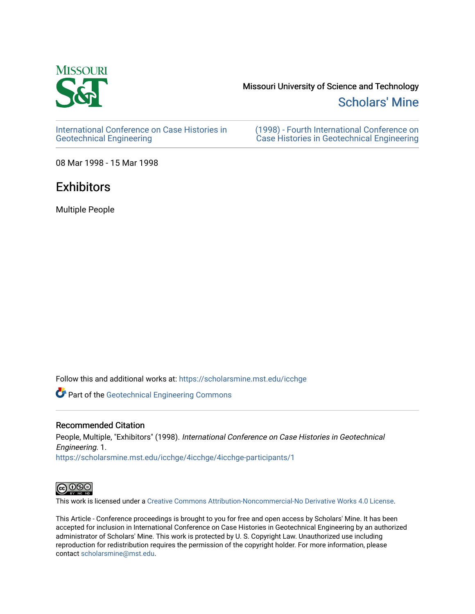

# Missouri University of Science and Technology

[Scholars' Mine](https://scholarsmine.mst.edu/) 

[International Conference on Case Histories in](https://scholarsmine.mst.edu/icchge)  [Geotechnical Engineering](https://scholarsmine.mst.edu/icchge)

[\(1998\) - Fourth International Conference on](https://scholarsmine.mst.edu/icchge/4icchge)  [Case Histories in Geotechnical Engineering](https://scholarsmine.mst.edu/icchge/4icchge) 

08 Mar 1998 - 15 Mar 1998

## **Exhibitors**

Multiple People

Follow this and additional works at: [https://scholarsmine.mst.edu/icchge](https://scholarsmine.mst.edu/icchge?utm_source=scholarsmine.mst.edu%2Ficchge%2F4icchge%2F4icchge-participants%2F1&utm_medium=PDF&utm_campaign=PDFCoverPages) 

Part of the [Geotechnical Engineering Commons](http://network.bepress.com/hgg/discipline/255?utm_source=scholarsmine.mst.edu%2Ficchge%2F4icchge%2F4icchge-participants%2F1&utm_medium=PDF&utm_campaign=PDFCoverPages) 

#### Recommended Citation

People, Multiple, "Exhibitors" (1998). International Conference on Case Histories in Geotechnical Engineering. 1. [https://scholarsmine.mst.edu/icchge/4icchge/4icchge-participants/1](https://scholarsmine.mst.edu/icchge/4icchge/4icchge-participants/1?utm_source=scholarsmine.mst.edu%2Ficchge%2F4icchge%2F4icchge-participants%2F1&utm_medium=PDF&utm_campaign=PDFCoverPages)



This work is licensed under a [Creative Commons Attribution-Noncommercial-No Derivative Works 4.0 License.](https://creativecommons.org/licenses/by-nc-nd/4.0/)

This Article - Conference proceedings is brought to you for free and open access by Scholars' Mine. It has been accepted for inclusion in International Conference on Case Histories in Geotechnical Engineering by an authorized administrator of Scholars' Mine. This work is protected by U. S. Copyright Law. Unauthorized use including reproduction for redistribution requires the permission of the copyright holder. For more information, please contact [scholarsmine@mst.edu](mailto:scholarsmine@mst.edu).